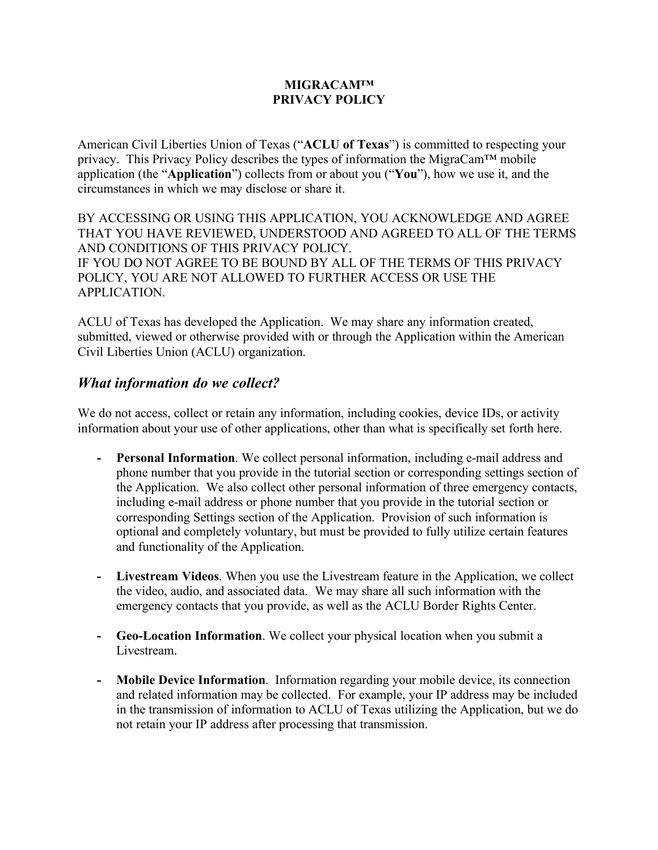#### **MIGRACAM™ PRIVACY POLICY**

American Civil Liberties Union of Texas ("**ACLU of Texas**") is committed to respecting your privacy. This Privacy Policy describes the types of information the MigraCam™ mobile application (the "**Application**") collects from or about you ("**You**"), how we use it, and the circumstances in which we may disclose or share it.

BY ACCESSING OR USING THIS APPLICATION, YOU ACKNOWLEDGE AND AGREE THAT YOU HAVE REVIEWED, UNDERSTOOD AND AGREED TO ALL OF THE TERMS AND CONDITIONS OF THIS PRIVACY POLICY. IF YOU DO NOT AGREE TO BE BOUND BY ALL OF THE TERMS OF THIS PRIVACY POLICY, YOU ARE NOT ALLOWED TO FURTHER ACCESS OR USE THE APPLICATION.

ACLU of Texas has developed the Application. We may share any information created, submitted, viewed or otherwise provided with or through the Application within the American Civil Liberties Union (ACLU) organization.

#### *What information do we collect?*

We do not access, collect or retain any information, including cookies, device IDs, or activity information about your use of other applications, other than what is specifically set forth here.

- **- Personal Information**. We collect personal information, including e-mail address and phone number that you provide in the tutorial section or corresponding settings section of the Application. We also collect other personal information of three emergency contacts, including e-mail address or phone number that you provide in the tutorial section or corresponding Settings section of the Application. Provision of such information is optional and completely voluntary, but must be provided to fully utilize certain features and functionality of the Application.
- **- Livestream Videos**. When you use the Livestream feature in the Application, we collect the video, audio, and associated data. We may share all such information with the emergency contacts that you provide, as well as the ACLU Border Rights Center.
- **- Geo-Location Information**. We collect your physical location when you submit a Livestream.
- **- Mobile Device Information**. Information regarding your mobile device, its connection and related information may be collected. For example, your IP address may be included in the transmission of information to ACLU of Texas utilizing the Application, but we do not retain your IP address after processing that transmission.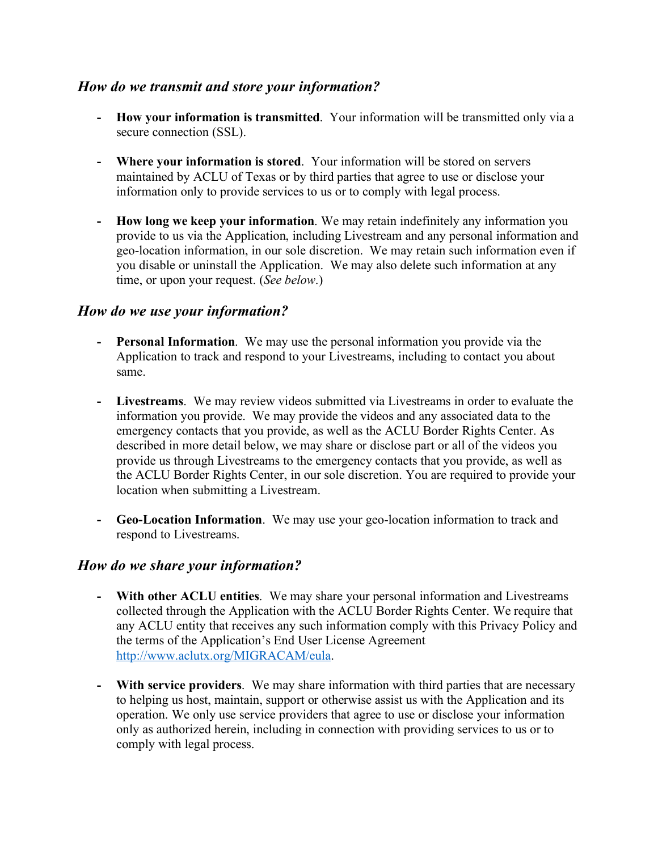### *How do we transmit and store your information?*

- **- How your information is transmitted**. Your information will be transmitted only via a secure connection (SSL).
- **- Where your information is stored**. Your information will be stored on servers maintained by ACLU of Texas or by third parties that agree to use or disclose your information only to provide services to us or to comply with legal process.
- **- How long we keep your information**. We may retain indefinitely any information you provide to us via the Application, including Livestream and any personal information and geo-location information, in our sole discretion. We may retain such information even if you disable or uninstall the Application. We may also delete such information at any time, or upon your request. (*See below*.)

### *How do we use your information?*

- **- Personal Information**. We may use the personal information you provide via the Application to track and respond to your Livestreams, including to contact you about same.
- **- Livestreams**. We may review videos submitted via Livestreams in order to evaluate the information you provide. We may provide the videos and any associated data to the emergency contacts that you provide, as well as the ACLU Border Rights Center. As described in more detail below, we may share or disclose part or all of the videos you provide us through Livestreams to the emergency contacts that you provide, as well as the ACLU Border Rights Center, in our sole discretion. You are required to provide your location when submitting a Livestream.
- **- Geo-Location Information**. We may use your geo-location information to track and respond to Livestreams.

#### *How do we share your information?*

- **- With other ACLU entities**. We may share your personal information and Livestreams collected through the Application with the ACLU Border Rights Center. We require that any ACLU entity that receives any such information comply with this Privacy Policy and the terms of the Application's End User License Agreement http://www.aclutx.org/MIGRACAM/eula.
- **- With service providers**. We may share information with third parties that are necessary to helping us host, maintain, support or otherwise assist us with the Application and its operation. We only use service providers that agree to use or disclose your information only as authorized herein, including in connection with providing services to us or to comply with legal process.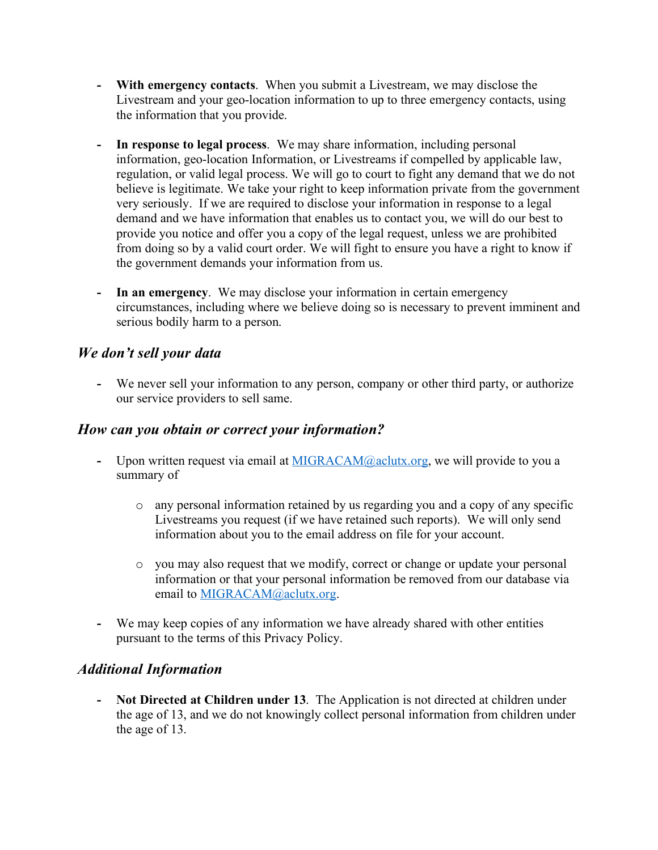- **- With emergency contacts**. When you submit a Livestream, we may disclose the Livestream and your geo-location information to up to three emergency contacts, using the information that you provide.
- **- In response to legal process**. We may share information, including personal information, geo-location Information, or Livestreams if compelled by applicable law, regulation, or valid legal process. We will go to court to fight any demand that we do not believe is legitimate. We take your right to keep information private from the government very seriously. If we are required to disclose your information in response to a legal demand and we have information that enables us to contact you, we will do our best to provide you notice and offer you a copy of the legal request, unless we are prohibited from doing so by a valid court order. We will fight to ensure you have a right to know if the government demands your information from us.
- **- In an emergency**. We may disclose your information in certain emergency circumstances, including where we believe doing so is necessary to prevent imminent and serious bodily harm to a person.

## *We don't sell your data*

**-** We never sell your information to any person, company or other third party, or authorize our service providers to sell same.

### *How can you obtain or correct your information?*

- **-** Upon written request via email at MIGRACAM@aclutx.org, we will provide to you a summary of
	- o any personal information retained by us regarding you and a copy of any specific Livestreams you request (if we have retained such reports). We will only send information about you to the email address on file for your account.
	- o you may also request that we modify, correct or change or update your personal information or that your personal information be removed from our database via email to MIGRACAM@aclutx.org.
- **-** We may keep copies of any information we have already shared with other entities pursuant to the terms of this Privacy Policy.

## *Additional Information*

**- Not Directed at Children under 13**. The Application is not directed at children under the age of 13, and we do not knowingly collect personal information from children under the age of 13.